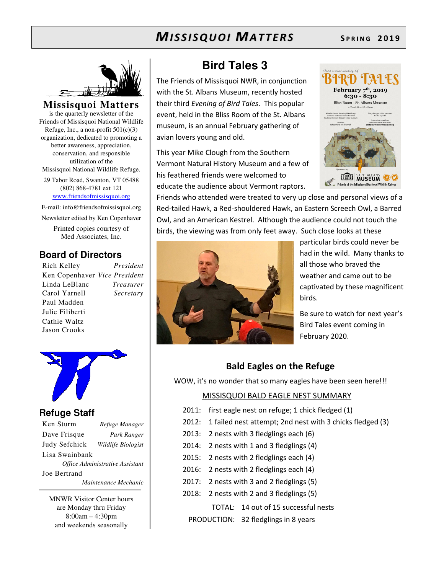

**Missisquoi Matters**  is the quarterly newsletter of the Friends of Missisquoi National Wildlife Refuge, Inc., a non-profit  $501(c)(3)$ organization, dedicated to promoting a better awareness, appreciation, conservation, and responsible utilization of the Missisquoi National Wildlife Refuge. 29 Tabor Road, Swanton, VT 05488

(802) 868-4781 ext 121 www.friendsofmissisquoi.org

E-mail: info@friendsofmissisquoi.org Newsletter edited by Ken Copenhaver

Printed copies courtesy of Med Associates, Inc.

## **Board of Directors**

Rich Kelley *President* Ken Copenhaver *Vice President* Linda LeBlanc *Treasurer* Carol Yarnell *Secretary*  Paul Madden Julie Filiberti Cathie Waltz Jason Crooks



### **Refuge Staff**

| Ken Sturm                       | Refuge Manager     |  |  |  |
|---------------------------------|--------------------|--|--|--|
| Dave Frisque                    | Park Ranger        |  |  |  |
| Judy Sefchick                   | Wildlife Biologist |  |  |  |
| Lisa Swainbank                  |                    |  |  |  |
| Office Administrative Assistant |                    |  |  |  |
| Joe Bertrand                    |                    |  |  |  |
| Maintenance Mechanic            |                    |  |  |  |

MNWR Visitor Center hours are Monday thru Friday 8:00am – 4:30pm and weekends seasonally

# **Bird Tales 3**

The Friends of Missisquoi NWR, in conjunction with the St. Albans Museum, recently hosted their third *Evening of Bird Tales*. This popular event, held in the Bliss Room of the St. Albans museum, is an annual February gathering of avian lovers young and old.

This year Mike Clough from the Southern Vermont Natural History Museum and a few of his feathered friends were welcomed to educate the audience about Vermont raptors.



Friends who attended were treated to very up close and personal views of a Red-tailed Hawk, a Red-shouldered Hawk, an Eastern Screech Owl, a Barred Owl, and an American Kestrel. Although the audience could not touch the birds, the viewing was from only feet away. Such close looks at these



particular birds could never be had in the wild. Many thanks to all those who braved the weather and came out to be captivated by these magnificent birds.

Be sure to watch for next year's Bird Tales event coming in February 2020.

## **Bald Eagles on the Refuge**

WOW, it's no wonder that so many eagles have been seen here!!!

#### MISSISQUOI BALD EAGLE NEST SUMMARY

- 2011: first eagle nest on refuge; 1 chick fledged (1)
- 2012: 1 failed nest attempt; 2nd nest with 3 chicks fledged (3)
- 2013: 2 nests with 3 fledglings each (6)
- 2014: 2 nests with 1 and 3 fledglings (4)
- 2015: 2 nests with 2 fledglings each (4)
- 2016: 2 nests with 2 fledglings each (4)
- 2017: 2 nests with 3 and 2 fledglings (5)
- 2018: 2 nests with 2 and 3 fledglings (5)

 TOTAL: 14 out of 15 successful nests PRODUCTION: 32 fledglings in 8 years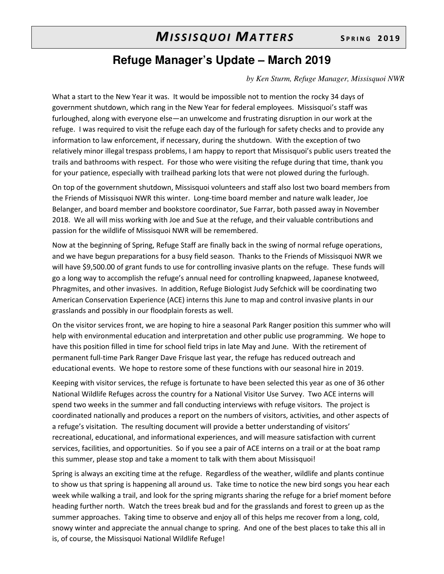## **Refuge Manager's Update – March 2019**

#### *by Ken Sturm, Refuge Manager, Missisquoi NWR*

What a start to the New Year it was. It would be impossible not to mention the rocky 34 days of government shutdown, which rang in the New Year for federal employees. Missisquoi's staff was furloughed, along with everyone else—an unwelcome and frustrating disruption in our work at the refuge. I was required to visit the refuge each day of the furlough for safety checks and to provide any information to law enforcement, if necessary, during the shutdown. With the exception of two relatively minor illegal trespass problems, I am happy to report that Missisquoi's public users treated the trails and bathrooms with respect. For those who were visiting the refuge during that time, thank you for your patience, especially with trailhead parking lots that were not plowed during the furlough.

On top of the government shutdown, Missisquoi volunteers and staff also lost two board members from the Friends of Missisquoi NWR this winter. Long-time board member and nature walk leader, Joe Belanger, and board member and bookstore coordinator, Sue Farrar, both passed away in November 2018. We all will miss working with Joe and Sue at the refuge, and their valuable contributions and passion for the wildlife of Missisquoi NWR will be remembered.

Now at the beginning of Spring, Refuge Staff are finally back in the swing of normal refuge operations, and we have begun preparations for a busy field season. Thanks to the Friends of Missisquoi NWR we will have \$9,500.00 of grant funds to use for controlling invasive plants on the refuge. These funds will go a long way to accomplish the refuge's annual need for controlling knapweed, Japanese knotweed, Phragmites, and other invasives. In addition, Refuge Biologist Judy Sefchick will be coordinating two American Conservation Experience (ACE) interns this June to map and control invasive plants in our grasslands and possibly in our floodplain forests as well.

On the visitor services front, we are hoping to hire a seasonal Park Ranger position this summer who will help with environmental education and interpretation and other public use programming. We hope to have this position filled in time for school field trips in late May and June. With the retirement of permanent full-time Park Ranger Dave Frisque last year, the refuge has reduced outreach and educational events. We hope to restore some of these functions with our seasonal hire in 2019.

Keeping with visitor services, the refuge is fortunate to have been selected this year as one of 36 other National Wildlife Refuges across the country for a National Visitor Use Survey. Two ACE interns will spend two weeks in the summer and fall conducting interviews with refuge visitors. The project is coordinated nationally and produces a report on the numbers of visitors, activities, and other aspects of a refuge's visitation. The resulting document will provide a better understanding of visitors' recreational, educational, and informational experiences, and will measure satisfaction with current services, facilities, and opportunities. So if you see a pair of ACE interns on a trail or at the boat ramp this summer, please stop and take a moment to talk with them about Missisquoi!

Spring is always an exciting time at the refuge. Regardless of the weather, wildlife and plants continue to show us that spring is happening all around us. Take time to notice the new bird songs you hear each week while walking a trail, and look for the spring migrants sharing the refuge for a brief moment before heading further north. Watch the trees break bud and for the grasslands and forest to green up as the summer approaches. Taking time to observe and enjoy all of this helps me recover from a long, cold, snowy winter and appreciate the annual change to spring. And one of the best places to take this all in is, of course, the Missisquoi National Wildlife Refuge!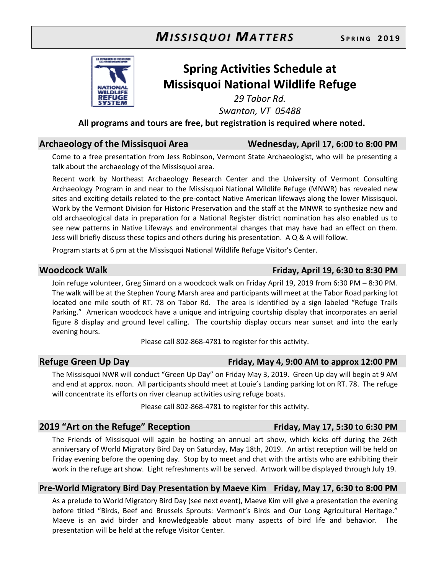

# **Spring Activities Schedule at Missisquoi National Wildlife Refuge**

*29 Tabor Rd.* 

*Swanton, VT 05488* 

**All programs and tours are free, but registration is required where noted.** 

### **Archaeology of the Missisquoi Area Wednesday, April 17, 6:00 to 8:00 PM**

Come to a free presentation from Jess Robinson, Vermont State Archaeologist, who will be presenting a talk about the archaeology of the Missisquoi area.

Recent work by Northeast Archaeology Research Center and the University of Vermont Consulting Archaeology Program in and near to the Missisquoi National Wildlife Refuge (MNWR) has revealed new sites and exciting details related to the pre-contact Native American lifeways along the lower Missisquoi. Work by the Vermont Division for Historic Preservation and the staff at the MNWR to synthesize new and old archaeological data in preparation for a National Register district nomination has also enabled us to see new patterns in Native Lifeways and environmental changes that may have had an effect on them. Jess will briefly discuss these topics and others during his presentation. A Q & A will follow.

Program starts at 6 pm at the Missisquoi National Wildlife Refuge Visitor's Center.

#### Join refuge volunteer, Greg Simard on a woodcock walk on Friday April 19, 2019 from 6:30 PM – 8:30 PM. The walk will be at the Stephen Young Marsh area and participants will meet at the Tabor Road parking lot located one mile south of RT. 78 on Tabor Rd. The area is identified by a sign labeled "Refuge Trails Parking." American woodcock have a unique and intriguing courtship display that incorporates an aerial figure 8 display and ground level calling. The courtship display occurs near sunset and into the early evening hours.

Please call 802-868-4781 to register for this activity.

### **Refuge Green Up Day Friday, May 4, 9:00 AM to approx 12:00 PM**

The Missisquoi NWR will conduct "Green Up Day" on Friday May 3, 2019. Green Up day will begin at 9 AM and end at approx. noon. All participants should meet at Louie's Landing parking lot on RT. 78. The refuge will concentrate its efforts on river cleanup activities using refuge boats.

Please call 802-868-4781 to register for this activity.

## **2019 "Art on the Refuge" Reception Friday, May 17, 5:30 to 6:30 PM**

The Friends of Missisquoi will again be hosting an annual art show, which kicks off during the 26th anniversary of World Migratory Bird Day on Saturday, May 18th, 2019. An artist reception will be held on Friday evening before the opening day. Stop by to meet and chat with the artists who are exhibiting their work in the refuge art show. Light refreshments will be served. Artwork will be displayed through July 19.

### **Pre-World Migratory Bird Day Presentation by Maeve Kim Friday, May 17, 6:30 to 8:00 PM**

As a prelude to World Migratory Bird Day (see next event), Maeve Kim will give a presentation the evening before titled "Birds, Beef and Brussels Sprouts: Vermont's Birds and Our Long Agricultural Heritage." Maeve is an avid birder and knowledgeable about many aspects of bird life and behavior. The presentation will be held at the refuge Visitor Center.

**Woodcock Walk Friday, April 19, 6:30 to 8:30 PM**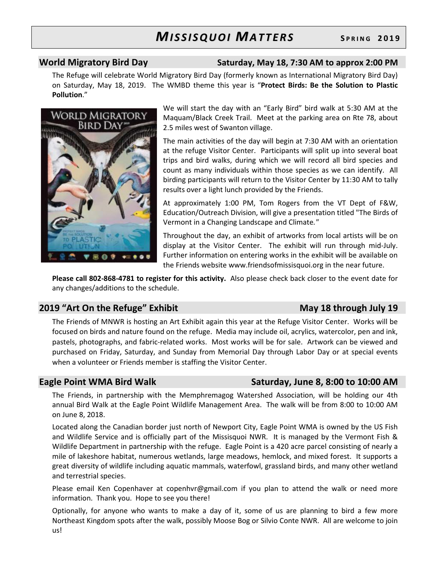#### **World Migratory Bird Day Saturday, May 18, 7:30 AM to approx 2:00 PM**

The Refuge will celebrate World Migratory Bird Day (formerly known as International Migratory Bird Day) on Saturday, May 18, 2019. The WMBD theme this year is "**Protect Birds: Be the Solution to Plastic Pollution**."



We will start the day with an "Early Bird" bird walk at 5:30 AM at the Maquam/Black Creek Trail. Meet at the parking area on Rte 78, about 2.5 miles west of Swanton village.

The main activities of the day will begin at 7:30 AM with an orientation at the refuge Visitor Center. Participants will split up into several boat trips and bird walks, during which we will record all bird species and count as many individuals within those species as we can identify. All birding participants will return to the Visitor Center by 11:30 AM to tally results over a light lunch provided by the Friends.

At approximately 1:00 PM, Tom Rogers from the VT Dept of F&W, Education/Outreach Division, will give a presentation titled "The Birds of Vermont in a Changing Landscape and Climate*."*

Throughout the day, an exhibit of artworks from local artists will be on display at the Visitor Center. The exhibit will run through mid-July. Further information on entering works in the exhibit will be available on the Friends website www.friendsofmissisquoi.org in the near future.

**Please call 802-868-4781 to register for this activity.** Also please check back closer to the event date for any changes/additions to the schedule.

## **2019 "Art On the Refuge" Exhibit May 18 through July 19**

The Friends of MNWR is hosting an Art Exhibit again this year at the Refuge Visitor Center. Works will be focused on birds and nature found on the refuge. Media may include oil, acrylics, watercolor, pen and ink, pastels, photographs, and fabric-related works. Most works will be for sale. Artwork can be viewed and purchased on Friday, Saturday, and Sunday from Memorial Day through Labor Day or at special events when a volunteer or Friends member is staffing the Visitor Center.

### Eagle Point WMA Bird Walk **Saturday, June 8, 8:00 to 10:00 AM**

The Friends, in partnership with the Memphremagog Watershed Association, will be holding our 4th annual Bird Walk at the Eagle Point Wildlife Management Area. The walk will be from 8:00 to 10:00 AM on June 8, 2018.

Located along the Canadian border just north of Newport City, Eagle Point WMA is owned by the US Fish and Wildlife Service and is officially part of the Missisquoi NWR. It is managed by the Vermont Fish & Wildlife Department in partnership with the refuge. Eagle Point is a 420 acre parcel consisting of nearly a mile of lakeshore habitat, numerous wetlands, large meadows, hemlock, and mixed forest. It supports a great diversity of wildlife including aquatic mammals, waterfowl, grassland birds, and many other wetland and terrestrial species.

Please email Ken Copenhaver at copenhvr@gmail.com if you plan to attend the walk or need more information. Thank you. Hope to see you there!

Optionally, for anyone who wants to make a day of it, some of us are planning to bird a few more Northeast Kingdom spots after the walk, possibly Moose Bog or Silvio Conte NWR. All are welcome to join us!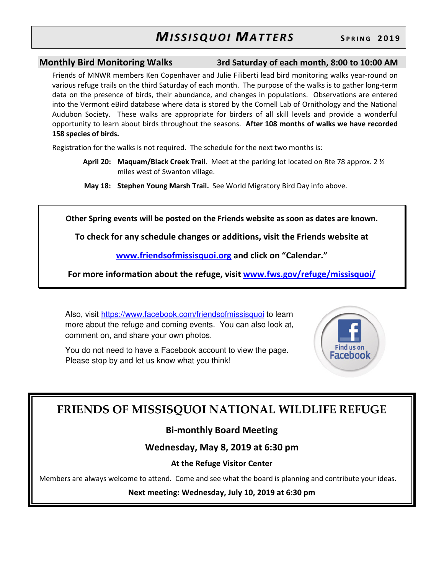**Monthly Bird Monitoring Walks 3rd Saturday of each month, 8:00 to 10:00 AM**

Friends of MNWR members Ken Copenhaver and Julie Filiberti lead bird monitoring walks year-round on various refuge trails on the third Saturday of each month. The purpose of the walks is to gather long-term data on the presence of birds, their abundance, and changes in populations. Observations are entered into the Vermont eBird database where data is stored by the Cornell Lab of Ornithology and the National Audubon Society. These walks are appropriate for birders of all skill levels and provide a wonderful opportunity to learn about birds throughout the seasons. **After 108 months of walks we have recorded 158 species of birds.**

Registration for the walks is not required. The schedule for the next two months is:

- **April 20: Maquam/Black Creek Trail**. Meet at the parking lot located on Rte 78 approx. 2 ½ miles west of Swanton village.
- **May 18: Stephen Young Marsh Trail.** See World Migratory Bird Day info above.

**Other Spring events will be posted on the Friends website as soon as dates are known.** 

**To check for any schedule changes or additions, visit the Friends website at** 

**www.friendsofmissisquoi.org and click on "Calendar."** 

**For more information about the refuge, visit www.fws.gov/refuge/missisquoi/**

Also, visit https://www.facebook.com/friendsofmissisquoi to learn more about the refuge and coming events. You can also look at, comment on, and share your own photos.

You do not need to have a Facebook account to view the page. Please stop by and let us know what you think!



# **FRIENDS OF MISSISQUOI NATIONAL WILDLIFE REFUGE**

## **Bi-monthly Board Meeting**

## **Wednesday, May 8, 2019 at 6:30 pm**

### **At the Refuge Visitor Center**

Members are always welcome to attend. Come and see what the board is planning and contribute your ideas.

**Next meeting: Wednesday, July 10, 2019 at 6:30 pm**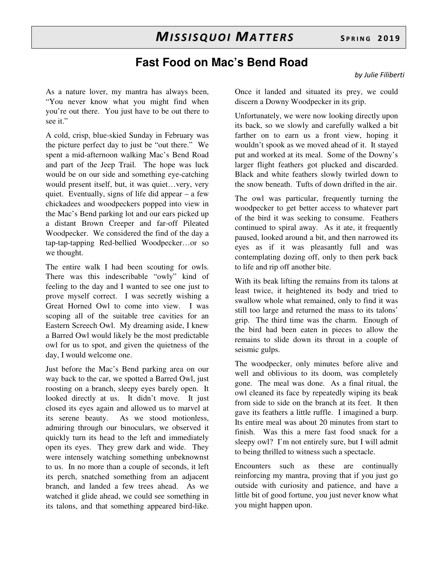As a nature lover, my mantra has always been, "You never know what you might find when you're out there. You just have to be out there to see it."

A cold, crisp, blue-skied Sunday in February was the picture perfect day to just be "out there." We spent a mid-afternoon walking Mac's Bend Road and part of the Jeep Trail. The hope was luck would be on our side and something eye-catching would present itself, but, it was quiet…very, very quiet. Eventually, signs of life did appear – a few chickadees and woodpeckers popped into view in the Mac's Bend parking lot and our ears picked up a distant Brown Creeper and far-off Pileated Woodpecker. We considered the find of the day a tap-tap-tapping Red-bellied Woodpecker…or so we thought.

The entire walk I had been scouting for owls. There was this indescribable "owly" kind of feeling to the day and I wanted to see one just to prove myself correct. I was secretly wishing a Great Horned Owl to come into view. I was scoping all of the suitable tree cavities for an Eastern Screech Owl. My dreaming aside, I knew a Barred Owl would likely be the most predictable owl for us to spot, and given the quietness of the day, I would welcome one.

Just before the Mac's Bend parking area on our way back to the car, we spotted a Barred Owl, just roosting on a branch, sleepy eyes barely open. It looked directly at us. It didn't move. It just closed its eyes again and allowed us to marvel at its serene beauty. As we stood motionless, admiring through our binoculars, we observed it quickly turn its head to the left and immediately open its eyes. They grew dark and wide. They were intensely watching something unbeknownst to us. In no more than a couple of seconds, it left its perch, snatched something from an adjacent branch, and landed a few trees ahead. As we watched it glide ahead, we could see something in its talons, and that something appeared bird-like.

Once it landed and situated its prey, we could discern a Downy Woodpecker in its grip.

Unfortunately, we were now looking directly upon its back, so we slowly and carefully walked a bit farther on to earn us a front view, hoping it wouldn't spook as we moved ahead of it. It stayed put and worked at its meal. Some of the Downy's larger flight feathers got plucked and discarded. Black and white feathers slowly twirled down to the snow beneath. Tufts of down drifted in the air.

The owl was particular, frequently turning the woodpecker to get better access to whatever part of the bird it was seeking to consume. Feathers continued to spiral away. As it ate, it frequently paused, looked around a bit, and then narrowed its eyes as if it was pleasantly full and was contemplating dozing off, only to then perk back to life and rip off another bite.

With its beak lifting the remains from its talons at least twice, it heightened its body and tried to swallow whole what remained, only to find it was still too large and returned the mass to its talons' grip. The third time was the charm. Enough of the bird had been eaten in pieces to allow the remains to slide down its throat in a couple of seismic gulps.

The woodpecker, only minutes before alive and well and oblivious to its doom, was completely gone. The meal was done. As a final ritual, the owl cleaned its face by repeatedly wiping its beak from side to side on the branch at its feet. It then gave its feathers a little ruffle. I imagined a burp. Its entire meal was about 20 minutes from start to finish. Was this a mere fast food snack for a sleepy owl? I'm not entirely sure, but I will admit to being thrilled to witness such a spectacle.

Encounters such as these are continually reinforcing my mantra, proving that if you just go outside with curiosity and patience, and have a little bit of good fortune, you just never know what you might happen upon.

*by Julie Filiberti*